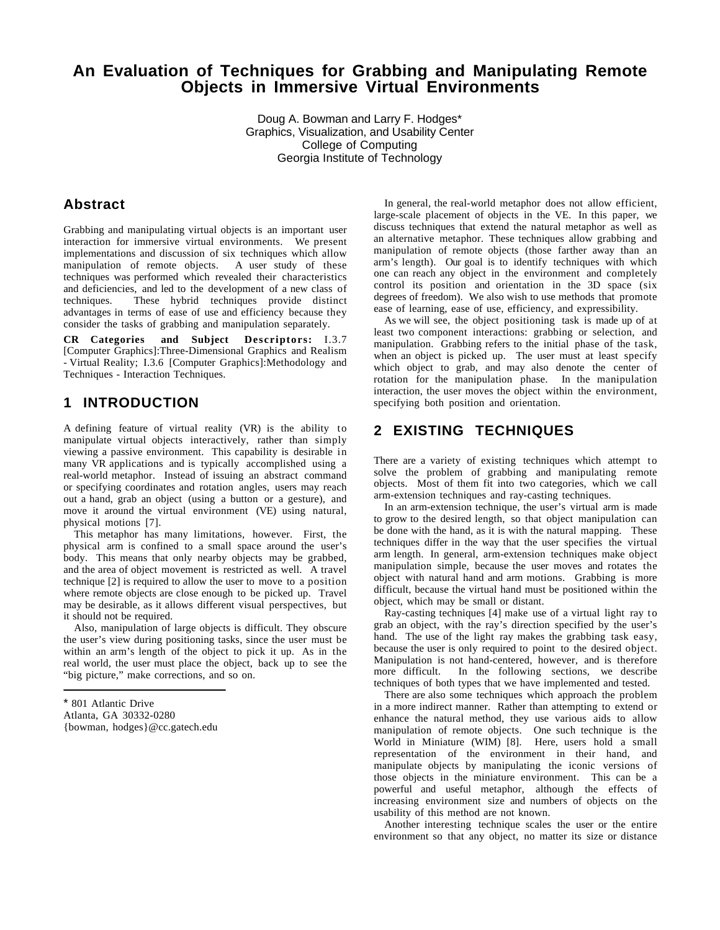# **An Evaluation of Techniques for Grabbing and Manipulating Remote Objects in Immersive Virtual Environments**

Doug A. Bowman and Larry F. Hodges\* Graphics, Visualization, and Usability Center College of Computing Georgia Institute of Technology

#### **Abstract**

Grabbing and manipulating virtual objects is an important user interaction for immersive virtual environments. We present implementations and discussion of six techniques which allow manipulation of remote objects. A user study of these techniques was performed which revealed their characteristics and deficiencies, and led to the development of a new class of techniques. These hybrid techniques provide distinct advantages in terms of ease of use and efficiency because they consider the tasks of grabbing and manipulation separately.

**CR Categories and Subject Descriptors:** I.3.7 [Computer Graphics]:Three-Dimensional Graphics and Realism - Virtual Reality; I.3.6 [Computer Graphics]:Methodology and Techniques - Interaction Techniques.

### **1 INTRODUCTION**

A defining feature of virtual reality (VR) is the ability to manipulate virtual objects interactively, rather than simply viewing a passive environment. This capability is desirable in many VR applications and is typically accomplished using a real-world metaphor. Instead of issuing an abstract command or specifying coordinates and rotation angles, users may reach out a hand, grab an object (using a button or a gesture), and move it around the virtual environment (VE) using natural, physical motions [7].

This metaphor has many limitations, however. First, the physical arm is confined to a small space around the user's body. This means that only nearby objects may be grabbed, and the area of object movement is restricted as well. A travel technique [2] is required to allow the user to move to a position where remote objects are close enough to be picked up. Travel may be desirable, as it allows different visual perspectives, but it should not be required.

Also, manipulation of large objects is difficult. They obscure the user's view during positioning tasks, since the user must be within an arm's length of the object to pick it up. As in the real world, the user must place the object, back up to see the "big picture," make corrections, and so on.

In general, the real-world metaphor does not allow efficient, large-scale placement of objects in the VE. In this paper, we discuss techniques that extend the natural metaphor as well as an alternative metaphor. These techniques allow grabbing and manipulation of remote objects (those farther away than an arm's length). Our goal is to identify techniques with which one can reach any object in the environment and completely control its position and orientation in the 3D space (six degrees of freedom). We also wish to use methods that promote ease of learning, ease of use, efficiency, and expressibility.

As we will see, the object positioning task is made up of at least two component interactions: grabbing or selection, and manipulation. Grabbing refers to the initial phase of the task, when an object is picked up. The user must at least specify which object to grab, and may also denote the center of rotation for the manipulation phase. In the manipulation interaction, the user moves the object within the environment, specifying both position and orientation.

# **2 EXISTING TECHNIQUES**

There are a variety of existing techniques which attempt to solve the problem of grabbing and manipulating remote objects. Most of them fit into two categories, which we call arm-extension techniques and ray-casting techniques.

In an arm-extension technique, the user's virtual arm is made to grow to the desired length, so that object manipulation can be done with the hand, as it is with the natural mapping. These techniques differ in the way that the user specifies the virtual arm length. In general, arm-extension techniques make object manipulation simple, because the user moves and rotates the object with natural hand and arm motions. Grabbing is more difficult, because the virtual hand must be positioned within the object, which may be small or distant.

Ray-casting techniques [4] make use of a virtual light ray to grab an object, with the ray's direction specified by the user's hand. The use of the light ray makes the grabbing task easy, because the user is only required to point to the desired object. Manipulation is not hand-centered, however, and is therefore more difficult. In the following sections, we describe techniques of both types that we have implemented and tested.

There are also some techniques which approach the problem in a more indirect manner. Rather than attempting to extend or enhance the natural method, they use various aids to allow manipulation of remote objects. One such technique is the World in Miniature (WIM) [8]. Here, users hold a small representation of the environment in their hand, and manipulate objects by manipulating the iconic versions of those objects in the miniature environment. This can be a powerful and useful metaphor, although the effects of increasing environment size and numbers of objects on the usability of this method are not known.

Another interesting technique scales the user or the entire environment so that any object, no matter its size or distance

<sup>\*</sup> 801 Atlantic Drive Atlanta, GA 30332-0280 {bowman, hodges}@cc.gatech.edu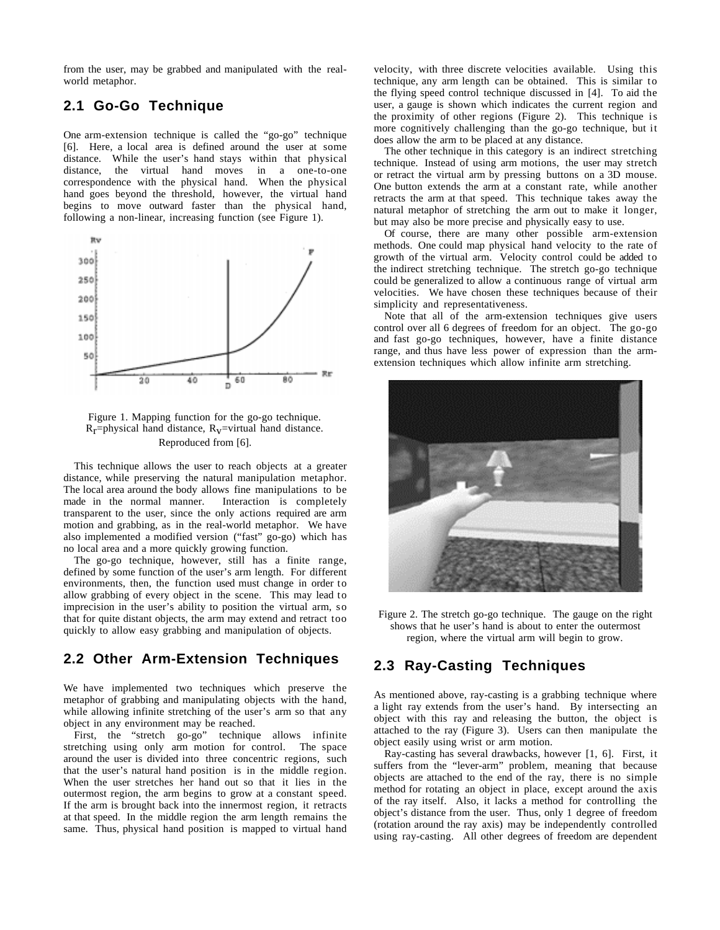from the user, may be grabbed and manipulated with the realworld metaphor.

## **2.1 Go-Go Technique**

One arm-extension technique is called the "go-go" technique [6]. Here, a local area is defined around the user at some distance. While the user's hand stays within that physical distance, the virtual hand moves in a one-to-one correspondence with the physical hand. When the physical hand goes beyond the threshold, however, the virtual hand begins to move outward faster than the physical hand, following a non-linear, increasing function (see Figure 1).



Figure 1. Mapping function for the go-go technique.  $R_r$ =physical hand distance,  $R_v$ =virtual hand distance. Reproduced from [6].

This technique allows the user to reach objects at a greater distance, while preserving the natural manipulation metaphor. The local area around the body allows fine manipulations to be made in the normal manner. Interaction is completely transparent to the user, since the only actions required are arm motion and grabbing, as in the real-world metaphor. We have also implemented a modified version ("fast" go-go) which has no local area and a more quickly growing function.

The go-go technique, however, still has a finite range, defined by some function of the user's arm length. For different environments, then, the function used must change in order to allow grabbing of every object in the scene. This may lead to imprecision in the user's ability to position the virtual arm, so that for quite distant objects, the arm may extend and retract too quickly to allow easy grabbing and manipulation of objects.

### **2.2 Other Arm-Extension Techniques**

We have implemented two techniques which preserve the metaphor of grabbing and manipulating objects with the hand, while allowing infinite stretching of the user's arm so that any object in any environment may be reached.

First, the "stretch go-go" technique allows infinite stretching using only arm motion for control. The space around the user is divided into three concentric regions, such that the user's natural hand position is in the middle region. When the user stretches her hand out so that it lies in the outermost region, the arm begins to grow at a constant speed. If the arm is brought back into the innermost region, it retracts at that speed. In the middle region the arm length remains the same. Thus, physical hand position is mapped to virtual hand velocity, with three discrete velocities available. Using this technique, any arm length can be obtained. This is similar to the flying speed control technique discussed in [4]. To aid the user, a gauge is shown which indicates the current region and the proximity of other regions (Figure 2). This technique is more cognitively challenging than the go-go technique, but it does allow the arm to be placed at any distance.

The other technique in this category is an indirect stretching technique. Instead of using arm motions, the user may stretch or retract the virtual arm by pressing buttons on a 3D mouse. One button extends the arm at a constant rate, while another retracts the arm at that speed. This technique takes away the natural metaphor of stretching the arm out to make it longer, but may also be more precise and physically easy to use.

Of course, there are many other possible arm-extension methods. One could map physical hand velocity to the rate of growth of the virtual arm. Velocity control could be added to the indirect stretching technique. The stretch go-go technique could be generalized to allow a continuous range of virtual arm velocities. We have chosen these techniques because of their simplicity and representativeness.

Note that all of the arm-extension techniques give users control over all 6 degrees of freedom for an object. The go-go and fast go-go techniques, however, have a finite distance range, and thus have less power of expression than the armextension techniques which allow infinite arm stretching.



Figure 2. The stretch go-go technique. The gauge on the right shows that he user's hand is about to enter the outermost region, where the virtual arm will begin to grow.

## **2.3 Ray-Casting Techniques**

As mentioned above, ray-casting is a grabbing technique where a light ray extends from the user's hand. By intersecting an object with this ray and releasing the button, the object is attached to the ray (Figure 3). Users can then manipulate the object easily using wrist or arm motion.

Ray-casting has several drawbacks, however [1, 6]. First, it suffers from the "lever-arm" problem, meaning that because objects are attached to the end of the ray, there is no simple method for rotating an object in place, except around the axis of the ray itself. Also, it lacks a method for controlling the object's distance from the user. Thus, only 1 degree of freedom (rotation around the ray axis) may be independently controlled using ray-casting. All other degrees of freedom are dependent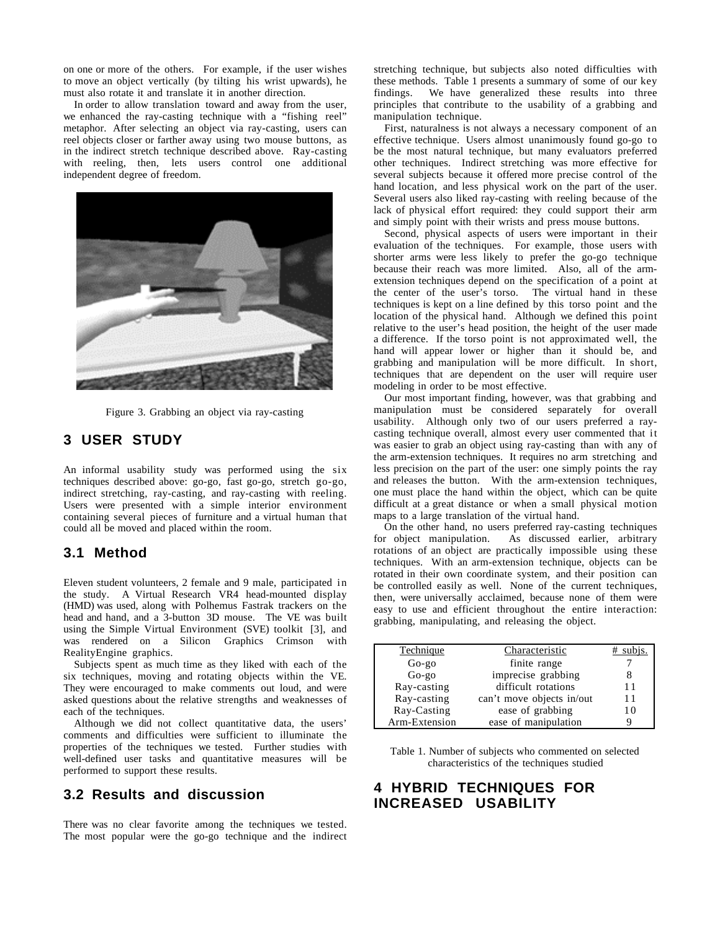on one or more of the others. For example, if the user wishes to move an object vertically (by tilting his wrist upwards), he must also rotate it and translate it in another direction.

In order to allow translation toward and away from the user, we enhanced the ray-casting technique with a "fishing reel" metaphor. After selecting an object via ray-casting, users can reel objects closer or farther away using two mouse buttons, as in the indirect stretch technique described above. Ray-casting with reeling, then, lets users control one additional independent degree of freedom.



Figure 3. Grabbing an object via ray-casting

### **3 USER STUDY**

An informal usability study was performed using the six techniques described above: go-go, fast go-go, stretch go-go, indirect stretching, ray-casting, and ray-casting with reeling. Users were presented with a simple interior environment containing several pieces of furniture and a virtual human that could all be moved and placed within the room.

#### **3.1 Method**

Eleven student volunteers, 2 female and 9 male, participated in the study. A Virtual Research VR4 head-mounted display (HMD) was used, along with Polhemus Fastrak trackers on the head and hand, and a 3-button 3D mouse. The VE was built using the Simple Virtual Environment (SVE) toolkit [3], and was rendered on a Silicon Graphics Crimson with RealityEngine graphics.

Subjects spent as much time as they liked with each of the six techniques, moving and rotating objects within the VE. They were encouraged to make comments out loud, and were asked questions about the relative strengths and weaknesses of each of the techniques.

Although we did not collect quantitative data, the users' comments and difficulties were sufficient to illuminate the properties of the techniques we tested. Further studies with well-defined user tasks and quantitative measures will be performed to support these results.

#### **3.2 Results and discussion**

There was no clear favorite among the techniques we tested. The most popular were the go-go technique and the indirect stretching technique, but subjects also noted difficulties with these methods. Table 1 presents a summary of some of our key findings. We have generalized these results into three principles that contribute to the usability of a grabbing and manipulation technique.

First, naturalness is not always a necessary component of an effective technique. Users almost unanimously found go-go to be the most natural technique, but many evaluators preferred other techniques. Indirect stretching was more effective for several subjects because it offered more precise control of the hand location, and less physical work on the part of the user. Several users also liked ray-casting with reeling because of the lack of physical effort required: they could support their arm and simply point with their wrists and press mouse buttons.

Second, physical aspects of users were important in their evaluation of the techniques. For example, those users with shorter arms were less likely to prefer the go-go technique because their reach was more limited. Also, all of the armextension techniques depend on the specification of a point at the center of the user's torso. The virtual hand in these techniques is kept on a line defined by this torso point and the location of the physical hand. Although we defined this point relative to the user's head position, the height of the user made a difference. If the torso point is not approximated well, the hand will appear lower or higher than it should be, and grabbing and manipulation will be more difficult. In short, techniques that are dependent on the user will require user modeling in order to be most effective.

Our most important finding, however, was that grabbing and manipulation must be considered separately for overall usability. Although only two of our users preferred a raycasting technique overall, almost every user commented that it was easier to grab an object using ray-casting than with any of the arm-extension techniques. It requires no arm stretching and less precision on the part of the user: one simply points the ray and releases the button. With the arm-extension techniques, one must place the hand within the object, which can be quite difficult at a great distance or when a small physical motion maps to a large translation of the virtual hand.

On the other hand, no users preferred ray-casting techniques for object manipulation. As discussed earlier, arbitrary rotations of an object are practically impossible using these techniques. With an arm-extension technique, objects can be rotated in their own coordinate system, and their position can be controlled easily as well. None of the current techniques, then, were universally acclaimed, because none of them were easy to use and efficient throughout the entire interaction: grabbing, manipulating, and releasing the object.

| Technique     | Characteristic            | subjs. |
|---------------|---------------------------|--------|
| $Go$ -go      | finite range              |        |
| $Go$ -go      | imprecise grabbing        |        |
| Ray-casting   | difficult rotations       | 11     |
| Ray-casting   | can't move objects in/out | 11     |
| Ray-Casting   | ease of grabbing          | 10     |
| Arm-Extension | ease of manipulation      |        |

Table 1. Number of subjects who commented on selected characteristics of the techniques studied

### **4 HYBRID TECHNIQUES FOR INCREASED USABILITY**